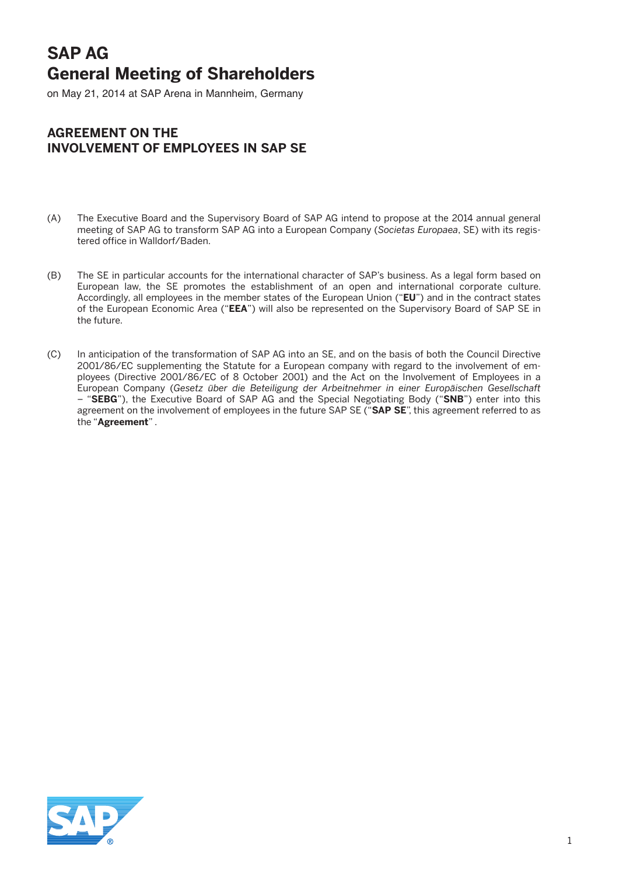# **SAP AG General Meeting of Shareholders**

on May 21, 2014 at SAP Arena in Mannheim, Germany

# **Agreement on the Involvement of Employees in SAP SE**

- (A) The Executive Board and the Supervisory Board of SAP AG intend to propose at the 2014 annual general meeting of SAP AG to transform SAP AG into a European Company (*Societas Europaea*, SE) with its registered office in Walldorf/Baden.
- (B) The SE in particular accounts for the international character of SAP's business. As a legal form based on European law, the SE promotes the establishment of an open and international corporate culture. Accordingly, all employees in the member states of the European Union ("**EU**") and in the contract states of the European Economic Area ("**EEA**") will also be represented on the Supervisory Board of SAP SE in the future.
- (C) In anticipation of the transformation of SAP AG into an SE, and on the basis of both the Council Directive 2001/86/EC supplementing the Statute for a European company with regard to the involvement of employees (Directive 2001/86/EC of 8 October 2001) and the Act on the Involvement of Employees in a European Company (*Gesetz über die Beteiligung der Arbeitnehmer in einer Europäischen Gesellschaft* – "**SEBG**"), the Executive Board of SAP AG and the Special Negotiating Body ("**SNB**") enter into this agreement on the involvement of employees in the future SAP SE ("**SAP SE**", this agreement referred to as the "**Agreement**" .

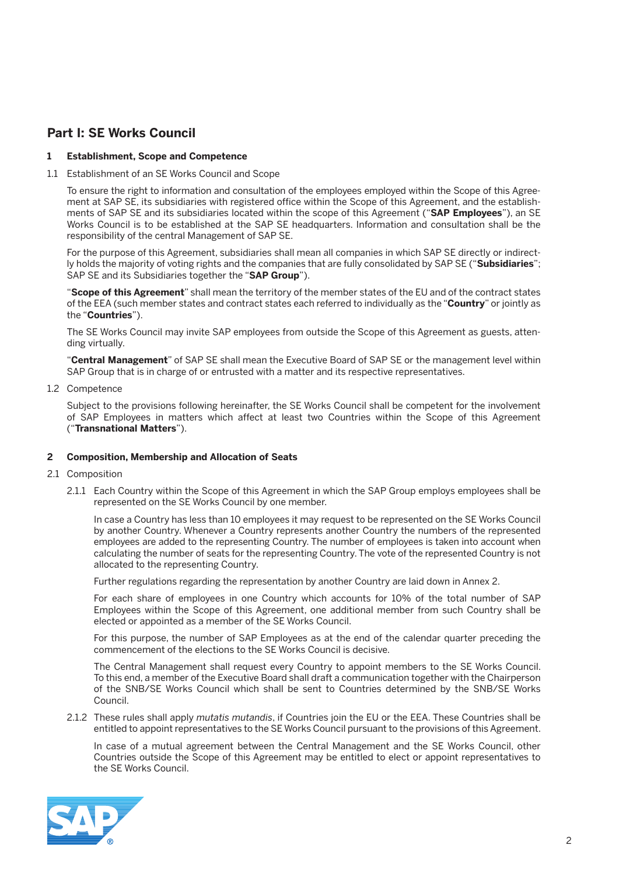## **Part I: SE Works Council**

#### **1 Establishment, Scope and Competence**

1.1 Establishment of an SE Works Council and Scope

 To ensure the right to information and consultation of the employees employed within the Scope of this Agreement at SAP SE, its subsidiaries with registered office within the Scope of this Agreement, and the establishments of SAP SE and its subsidiaries located within the scope of this Agreement ("**SAP Employees**"), an SE Works Council is to be established at the SAP SE headquarters. Information and consultation shall be the responsibility of the central Management of SAP SE.

 For the purpose of this Agreement, subsidiaries shall mean all companies in which SAP SE directly or indirectly holds the majority of voting rights and the companies that are fully consolidated by SAP SE ("**Subsidiaries**"; SAP SE and its Subsidiaries together the "**SAP Group**").

 "**Scope of this Agreement**" shall mean the territory of the member states of the EU and of the contract states of the EEA (such member states and contract states each referred to individually as the "**Country**" or jointly as the "**Countries**").

 The SE Works Council may invite SAP employees from outside the Scope of this Agreement as guests, attending virtually.

 "**Central Management**" of SAP SE shall mean the Executive Board of SAP SE or the management level within SAP Group that is in charge of or entrusted with a matter and its respective representatives.

1.2 Competence

 Subject to the provisions following hereinafter, the SE Works Council shall be competent for the involvement of SAP Employees in matters which affect at least two Countries within the Scope of this Agreement ("**Transnational Matters**").

#### **2 Composition, Membership and Allocation of Seats**

- 2.1 Composition
	- 2.1.1 Each Country within the Scope of this Agreement in which the SAP Group employs employees shall be represented on the SE Works Council by one member.

 In case a Country has less than 10 employees it may request to be represented on the SE Works Council by another Country. Whenever a Country represents another Country the numbers of the represented employees are added to the representing Country. The number of employees is taken into account when calculating the number of seats for the representing Country. The vote of the represented Country is not allocated to the representing Country.

Further regulations regarding the representation by another Country are laid down in Annex 2.

 For each share of employees in one Country which accounts for 10% of the total number of SAP Employees within the Scope of this Agreement, one additional member from such Country shall be elected or appointed as a member of the SE Works Council.

 For this purpose, the number of SAP Employees as at the end of the calendar quarter preceding the commencement of the elections to the SE Works Council is decisive.

 The Central Management shall request every Country to appoint members to the SE Works Council. To this end, a member of the Executive Board shall draft a communication together with the Chairperson of the SNB/SE Works Council which shall be sent to Countries determined by the SNB/SE Works Council.

2.1.2 These rules shall apply *mutatis mutandis*, if Countries join the EU or the EEA. These Countries shall be entitled to appoint representatives to the SE Works Council pursuant to the provisions of this Agreement.

 In case of a mutual agreement between the Central Management and the SE Works Council, other Countries outside the Scope of this Agreement may be entitled to elect or appoint representatives to the SE Works Council.

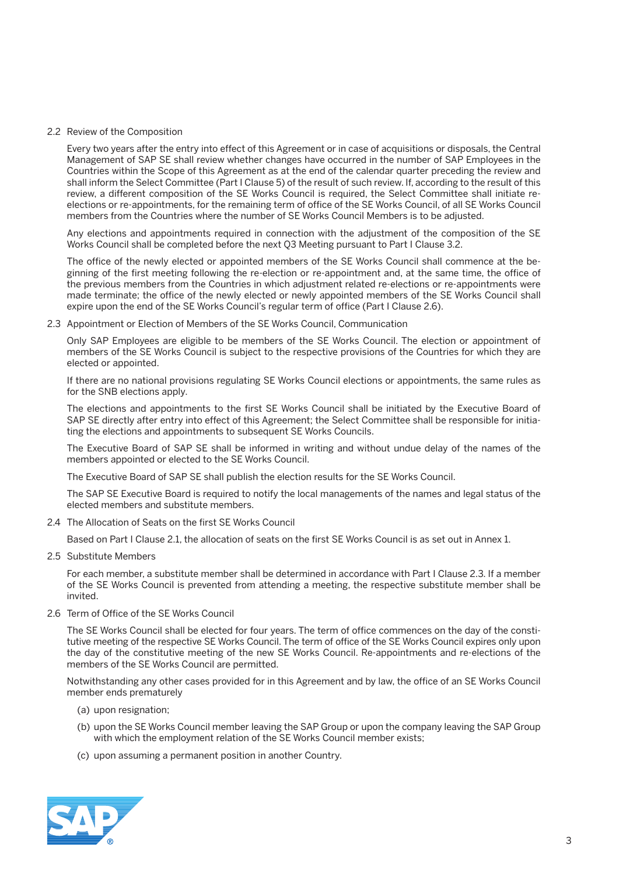#### 2.2 Review of the Composition

 Every two years after the entry into effect of this Agreement or in case of acquisitions or disposals, the Central Management of SAP SE shall review whether changes have occurred in the number of SAP Employees in the Countries within the Scope of this Agreement as at the end of the calendar quarter preceding the review and shall inform the Select Committee (Part I Clause 5) of the result of such review. If, according to the result of this review, a different composition of the SE Works Council is required, the Select Committee shall initiate reelections or re-appointments, for the remaining term of office of the SE Works Council, of all SE Works Council members from the Countries where the number of SE Works Council Members is to be adjusted.

 Any elections and appointments required in connection with the adjustment of the composition of the SE Works Council shall be completed before the next Q3 Meeting pursuant to Part I Clause 3.2.

 The office of the newly elected or appointed members of the SE Works Council shall commence at the beginning of the first meeting following the re-election or re-appointment and, at the same time, the office of the previous members from the Countries in which adjustment related re-elections or re-appointments were made terminate; the office of the newly elected or newly appointed members of the SE Works Council shall expire upon the end of the SE Works Council's regular term of office (Part I Clause 2.6).

2.3 Appointment or Election of Members of the SE Works Council, Communication

 Only SAP Employees are eligible to be members of the SE Works Council. The election or appointment of members of the SE Works Council is subject to the respective provisions of the Countries for which they are elected or appointed.

 If there are no national provisions regulating SE Works Council elections or appointments, the same rules as for the SNB elections apply.

 The elections and appointments to the first SE Works Council shall be initiated by the Executive Board of SAP SE directly after entry into effect of this Agreement; the Select Committee shall be responsible for initiating the elections and appointments to subsequent SE Works Councils.

 The Executive Board of SAP SE shall be informed in writing and without undue delay of the names of the members appointed or elected to the SE Works Council.

The Executive Board of SAP SE shall publish the election results for the SE Works Council.

 The SAP SE Executive Board is required to notify the local managements of the names and legal status of the elected members and substitute members.

2.4 The Allocation of Seats on the first SE Works Council

Based on Part I Clause 2.1, the allocation of seats on the first SE Works Council is as set out in Annex 1.

2.5 Substitute Members

 For each member, a substitute member shall be determined in accordance with Part I Clause 2.3. If a member of the SE Works Council is prevented from attending a meeting, the respective substitute member shall be invited.

2.6 Term of Office of the SE Works Council

 The SE Works Council shall be elected for four years. The term of office commences on the day of the constitutive meeting of the respective SE Works Council. The term of office of the SE Works Council expires only upon the day of the constitutive meeting of the new SE Works Council. Re-appointments and re-elections of the members of the SE Works Council are permitted.

 Notwithstanding any other cases provided for in this Agreement and by law, the office of an SE Works Council member ends prematurely

- (a) upon resignation;
- (b) upon the SE Works Council member leaving the SAP Group or upon the company leaving the SAP Group with which the employment relation of the SE Works Council member exists;
- (c) upon assuming a permanent position in another Country.

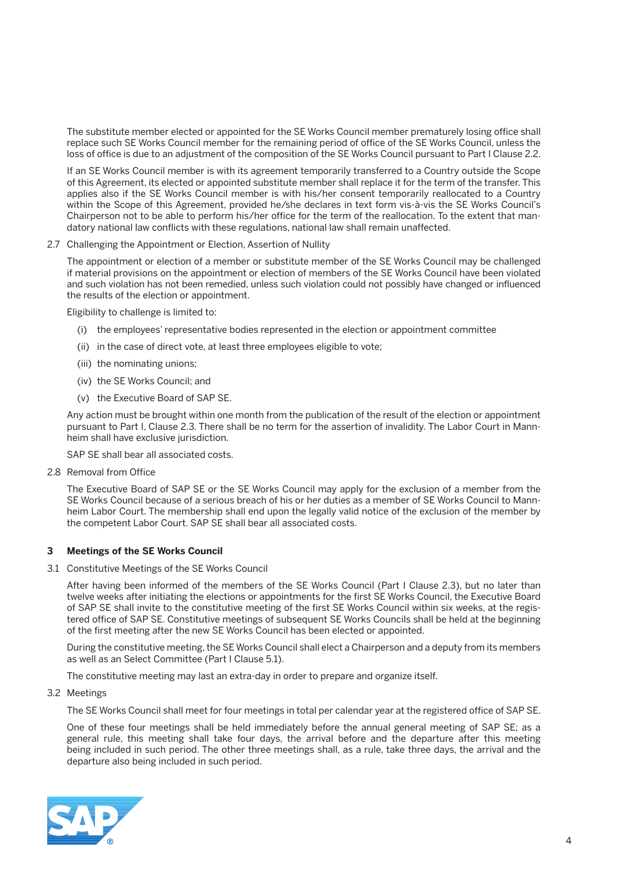The substitute member elected or appointed for the SE Works Council member prematurely losing office shall replace such SE Works Council member for the remaining period of office of the SE Works Council, unless the loss of office is due to an adjustment of the composition of the SE Works Council pursuant to Part I Clause 2.2.

 If an SE Works Council member is with its agreement temporarily transferred to a Country outside the Scope of this Agreement, its elected or appointed substitute member shall replace it for the term of the transfer. This applies also if the SE Works Council member is with his/her consent temporarily reallocated to a Country within the Scope of this Agreement, provided he/she declares in text form vis-à-vis the SE Works Council's Chairperson not to be able to perform his/her office for the term of the reallocation. To the extent that mandatory national law conflicts with these regulations, national law shall remain unaffected.

#### 2.7 Challenging the Appointment or Election, Assertion of Nullity

 The appointment or election of a member or substitute member of the SE Works Council may be challenged if material provisions on the appointment or election of members of the SE Works Council have been violated and such violation has not been remedied, unless such violation could not possibly have changed or influenced the results of the election or appointment.

Eligibility to challenge is limited to:

- (i) the employees' representative bodies represented in the election or appointment committee
- (ii) in the case of direct vote, at least three employees eligible to vote;
- (iii) the nominating unions;
- (iv) the SE Works Council; and
- (v) the Executive Board of SAP SE.

 Any action must be brought within one month from the publication of the result of the election or appointment pursuant to Part I, Clause 2.3. There shall be no term for the assertion of invalidity. The Labor Court in Mannheim shall have exclusive jurisdiction.

SAP SE shall bear all associated costs.

2.8 Removal from Office

 The Executive Board of SAP SE or the SE Works Council may apply for the exclusion of a member from the SE Works Council because of a serious breach of his or her duties as a member of SE Works Council to Mannheim Labor Court. The membership shall end upon the legally valid notice of the exclusion of the member by the competent Labor Court. SAP SE shall bear all associated costs.

#### **3 Meetings of the SE Works Council**

3.1 Constitutive Meetings of the SE Works Council

 After having been informed of the members of the SE Works Council (Part I Clause 2.3), but no later than twelve weeks after initiating the elections or appointments for the first SE Works Council, the Executive Board of SAP SE shall invite to the constitutive meeting of the first SE Works Council within six weeks, at the registered office of SAP SE. Constitutive meetings of subsequent SE Works Councils shall be held at the beginning of the first meeting after the new SE Works Council has been elected or appointed.

 During the constitutive meeting, the SE Works Council shall elect a Chairperson and a deputy from its members as well as an Select Committee (Part I Clause 5.1).

The constitutive meeting may last an extra-day in order to prepare and organize itself.

3.2 Meetings

The SE Works Council shall meet for four meetings in total per calendar year at the registered office of SAP SE.

 One of these four meetings shall be held immediately before the annual general meeting of SAP SE; as a general rule, this meeting shall take four days, the arrival before and the departure after this meeting being included in such period. The other three meetings shall, as a rule, take three days, the arrival and the departure also being included in such period.

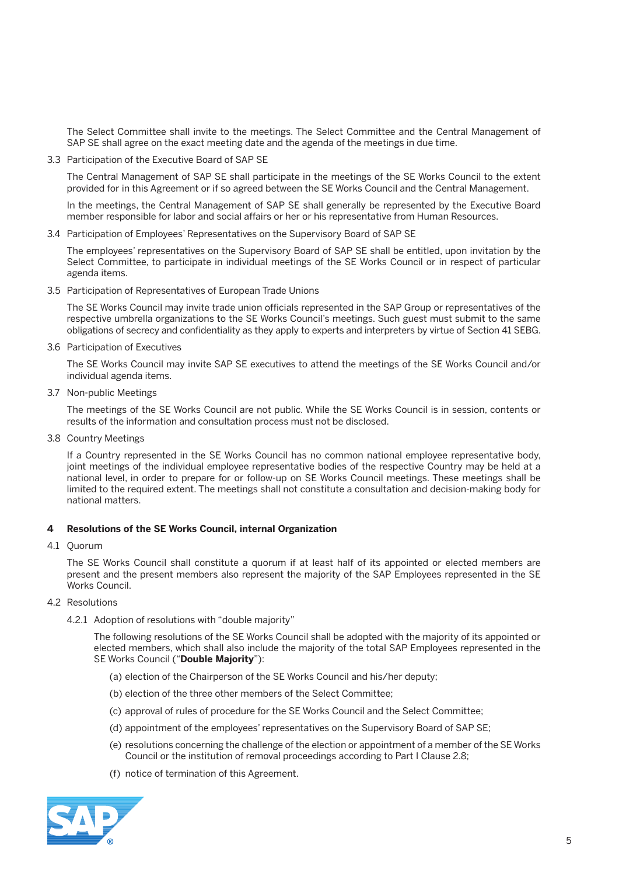The Select Committee shall invite to the meetings. The Select Committee and the Central Management of SAP SE shall agree on the exact meeting date and the agenda of the meetings in due time.

3.3 Participation of the Executive Board of SAP SE

 The Central Management of SAP SE shall participate in the meetings of the SE Works Council to the extent provided for in this Agreement or if so agreed between the SE Works Council and the Central Management.

 In the meetings, the Central Management of SAP SE shall generally be represented by the Executive Board member responsible for labor and social affairs or her or his representative from Human Resources.

3.4 Participation of Employees' Representatives on the Supervisory Board of SAP SE

 The employees' representatives on the Supervisory Board of SAP SE shall be entitled, upon invitation by the Select Committee, to participate in individual meetings of the SE Works Council or in respect of particular agenda items.

3.5 Participation of Representatives of European Trade Unions

 The SE Works Council may invite trade union officials represented in the SAP Group or representatives of the respective umbrella organizations to the SE Works Council's meetings. Such guest must submit to the same obligations of secrecy and confidentiality as they apply to experts and interpreters by virtue of Section 41 SEBG.

3.6 Participation of Executives

 The SE Works Council may invite SAP SE executives to attend the meetings of the SE Works Council and/or individual agenda items.

3.7 Non-public Meetings

 The meetings of the SE Works Council are not public. While the SE Works Council is in session, contents or results of the information and consultation process must not be disclosed.

3.8 Country Meetings

 If a Country represented in the SE Works Council has no common national employee representative body, joint meetings of the individual employee representative bodies of the respective Country may be held at a national level, in order to prepare for or follow-up on SE Works Council meetings. These meetings shall be limited to the required extent. The meetings shall not constitute a consultation and decision-making body for national matters.

#### **4 Resolutions of the SE Works Council, internal Organization**

4.1 Quorum

 The SE Works Council shall constitute a quorum if at least half of its appointed or elected members are present and the present members also represent the majority of the SAP Employees represented in the SE Works Council.

- 4.2 Resolutions
	- 4.2.1 Adoption of resolutions with "double majority"

 The following resolutions of the SE Works Council shall be adopted with the majority of its appointed or elected members, which shall also include the majority of the total SAP Employees represented in the SE Works Council ("**Double Majority**"):

- (a) election of the Chairperson of the SE Works Council and his/her deputy;
- (b) election of the three other members of the Select Committee;
- (c) approval of rules of procedure for the SE Works Council and the Select Committee;
- (d) appointment of the employees' representatives on the Supervisory Board of SAP SE;
- (e) resolutions concerning the challenge of the election or appointment of a member of the SE Works Council or the institution of removal proceedings according to Part I Clause 2.8;
- (f) notice of termination of this Agreement.

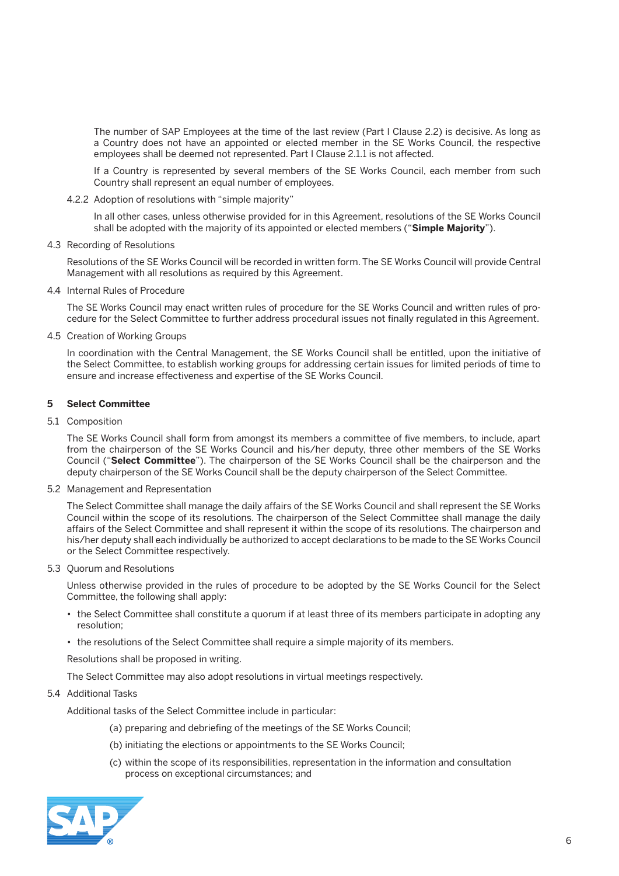The number of SAP Employees at the time of the last review (Part I Clause 2.2) is decisive. As long as a Country does not have an appointed or elected member in the SE Works Council, the respective employees shall be deemed not represented. Part I Clause 2.1.1 is not affected.

 If a Country is represented by several members of the SE Works Council, each member from such Country shall represent an equal number of employees.

4.2.2 Adoption of resolutions with "simple majority"

 In all other cases, unless otherwise provided for in this Agreement, resolutions of the SE Works Council shall be adopted with the majority of its appointed or elected members ("**Simple Majority**").

4.3 Recording of Resolutions

 Resolutions of the SE Works Council will be recorded in written form. The SE Works Council will provide Central Management with all resolutions as required by this Agreement.

4.4 Internal Rules of Procedure

 The SE Works Council may enact written rules of procedure for the SE Works Council and written rules of procedure for the Select Committee to further address procedural issues not finally regulated in this Agreement.

4.5 Creation of Working Groups

 In coordination with the Central Management, the SE Works Council shall be entitled, upon the initiative of the Select Committee, to establish working groups for addressing certain issues for limited periods of time to ensure and increase effectiveness and expertise of the SE Works Council.

#### **5 Select Committee**

5.1 Composition

 The SE Works Council shall form from amongst its members a committee of five members, to include, apart from the chairperson of the SE Works Council and his/her deputy, three other members of the SE Works Council ("**Select Committee**"). The chairperson of the SE Works Council shall be the chairperson and the deputy chairperson of the SE Works Council shall be the deputy chairperson of the Select Committee.

5.2 Management and Representation

 The Select Committee shall manage the daily affairs of the SE Works Council and shall represent the SE Works Council within the scope of its resolutions. The chairperson of the Select Committee shall manage the daily affairs of the Select Committee and shall represent it within the scope of its resolutions. The chairperson and his/her deputy shall each individually be authorized to accept declarations to be made to the SE Works Council or the Select Committee respectively.

5.3 Quorum and Resolutions

 Unless otherwise provided in the rules of procedure to be adopted by the SE Works Council for the Select Committee, the following shall apply:

- the Select Committee shall constitute a quorum if at least three of its members participate in adopting any resolution;
- the resolutions of the Select Committee shall require a simple majority of its members.

Resolutions shall be proposed in writing.

The Select Committee may also adopt resolutions in virtual meetings respectively.

#### 5.4 Additional Tasks

Additional tasks of the Select Committee include in particular:

- (a) preparing and debriefing of the meetings of the SE Works Council;
- (b) initiating the elections or appointments to the SE Works Council;
- (c) within the scope of its responsibilities, representation in the information and consultation process on exceptional circumstances; and

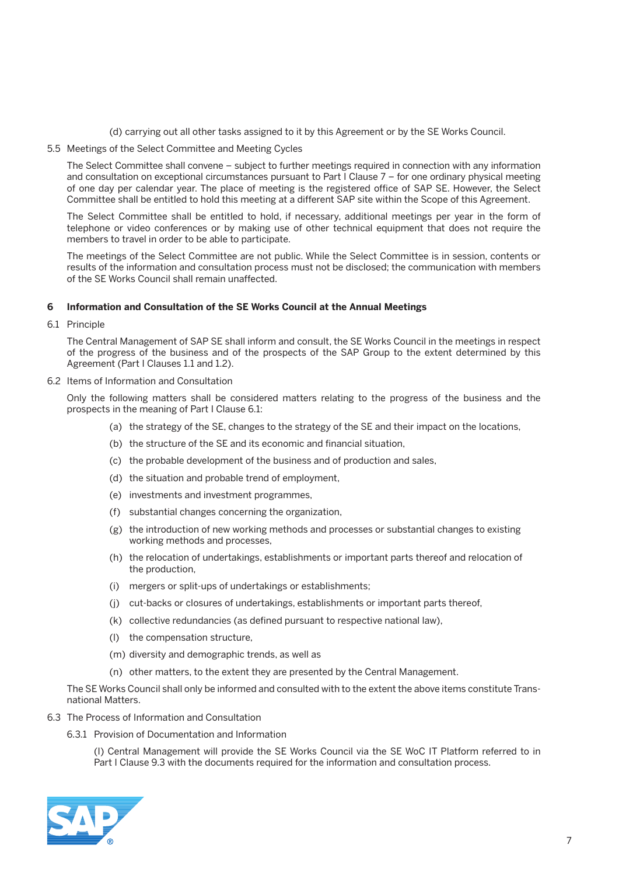(d) carrying out all other tasks assigned to it by this Agreement or by the SE Works Council.

5.5 Meetings of the Select Committee and Meeting Cycles

 The Select Committee shall convene – subject to further meetings required in connection with any information and consultation on exceptional circumstances pursuant to Part I Clause 7 – for one ordinary physical meeting of one day per calendar year. The place of meeting is the registered office of SAP SE. However, the Select Committee shall be entitled to hold this meeting at a different SAP site within the Scope of this Agreement.

 The Select Committee shall be entitled to hold, if necessary, additional meetings per year in the form of telephone or video conferences or by making use of other technical equipment that does not require the members to travel in order to be able to participate.

 The meetings of the Select Committee are not public. While the Select Committee is in session, contents or results of the information and consultation process must not be disclosed; the communication with members of the SE Works Council shall remain unaffected.

#### **6 Information and Consultation of the SE Works Council at the Annual Meetings**

6.1 Principle

 The Central Management of SAP SE shall inform and consult, the SE Works Council in the meetings in respect of the progress of the business and of the prospects of the SAP Group to the extent determined by this Agreement (Part I Clauses 1.1 and 1.2).

6.2 Items of Information and Consultation

 Only the following matters shall be considered matters relating to the progress of the business and the prospects in the meaning of Part I Clause 6.1:

- (a) the strategy of the SE, changes to the strategy of the SE and their impact on the locations,
- (b) the structure of the SE and its economic and financial situation,
- (c) the probable development of the business and of production and sales,
- (d) the situation and probable trend of employment,
- (e) investments and investment programmes,
- (f) substantial changes concerning the organization,
- (g) the introduction of new working methods and processes or substantial changes to existing working methods and processes,
- (h) the relocation of undertakings, establishments or important parts thereof and relocation of the production,
- (i) mergers or split-ups of undertakings or establishments;
- (j) cut-backs or closures of undertakings, establishments or important parts thereof,
- (k) collective redundancies (as defined pursuant to respective national law),
- (l) the compensation structure,
- (m) diversity and demographic trends, as well as
- (n) other matters, to the extent they are presented by the Central Management.

 The SE Works Council shall only be informed and consulted with to the extent the above items constitute Transnational Matters.

- 6.3 The Process of Information and Consultation
	- 6.3.1 Provision of Documentation and Information

 (I) Central Management will provide the SE Works Council via the SE WoC IT Platform referred to in Part I Clause 9.3 with the documents required for the information and consultation process.

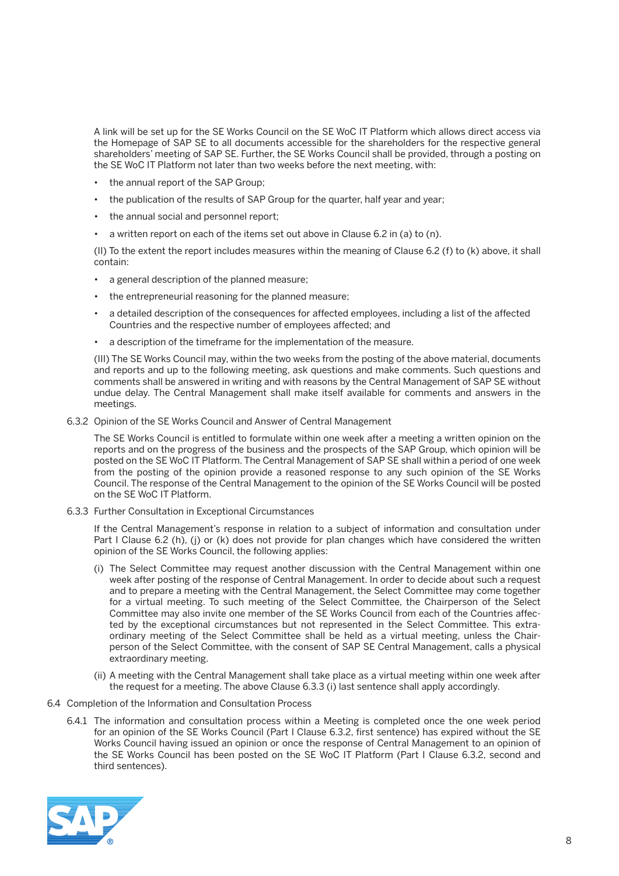A link will be set up for the SE Works Council on the SE WoC IT Platform which allows direct access via the Homepage of SAP SE to all documents accessible for the shareholders for the respective general shareholders' meeting of SAP SE. Further, the SE Works Council shall be provided, through a posting on the SE WoC IT Platform not later than two weeks before the next meeting, with:

- the annual report of the SAP Group;
- the publication of the results of SAP Group for the quarter, half year and year;
- the annual social and personnel report;
- a written report on each of the items set out above in Clause 6.2 in (a) to (n).

 (II) To the extent the report includes measures within the meaning of Clause 6.2 (f) to (k) above, it shall contain:

- a general description of the planned measure;
- • the entrepreneurial reasoning for the planned measure;
- a detailed description of the consequences for affected employees, including a list of the affected Countries and the respective number of employees affected; and
- • a description of the timeframe for the implementation of the measure.

 (III) The SE Works Council may, within the two weeks from the posting of the above material, documents and reports and up to the following meeting, ask questions and make comments. Such questions and comments shall be answered in writing and with reasons by the Central Management of SAP SE without undue delay. The Central Management shall make itself available for comments and answers in the meetings.

6.3.2 Opinion of the SE Works Council and Answer of Central Management

 The SE Works Council is entitled to formulate within one week after a meeting a written opinion on the reports and on the progress of the business and the prospects of the SAP Group, which opinion will be posted on the SE WoC IT Platform. The Central Management of SAP SE shall within a period of one week from the posting of the opinion provide a reasoned response to any such opinion of the SE Works Council. The response of the Central Management to the opinion of the SE Works Council will be posted on the SE WoC IT Platform.

6.3.3 Further Consultation in Exceptional Circumstances

 If the Central Management's response in relation to a subject of information and consultation under Part I Clause 6.2 (h), (j) or (k) does not provide for plan changes which have considered the written opinion of the SE Works Council, the following applies:

- (i) The Select Committee may request another discussion with the Central Management within one week after posting of the response of Central Management. In order to decide about such a request and to prepare a meeting with the Central Management, the Select Committee may come together for a virtual meeting. To such meeting of the Select Committee, the Chairperson of the Select Committee may also invite one member of the SE Works Council from each of the Countries affected by the exceptional circumstances but not represented in the Select Committee. This extraordinary meeting of the Select Committee shall be held as a virtual meeting, unless the Chairperson of the Select Committee, with the consent of SAP SE Central Management, calls a physical extraordinary meeting.
- (ii) A meeting with the Central Management shall take place as a virtual meeting within one week after the request for a meeting. The above Clause 6.3.3 (i) last sentence shall apply accordingly.
- 6.4 Completion of the Information and Consultation Process
	- 6.4.1 The information and consultation process within a Meeting is completed once the one week period for an opinion of the SE Works Council (Part I Clause 6.3.2, first sentence) has expired without the SE Works Council having issued an opinion or once the response of Central Management to an opinion of the SE Works Council has been posted on the SE WoC IT Platform (Part I Clause 6.3.2, second and third sentences).

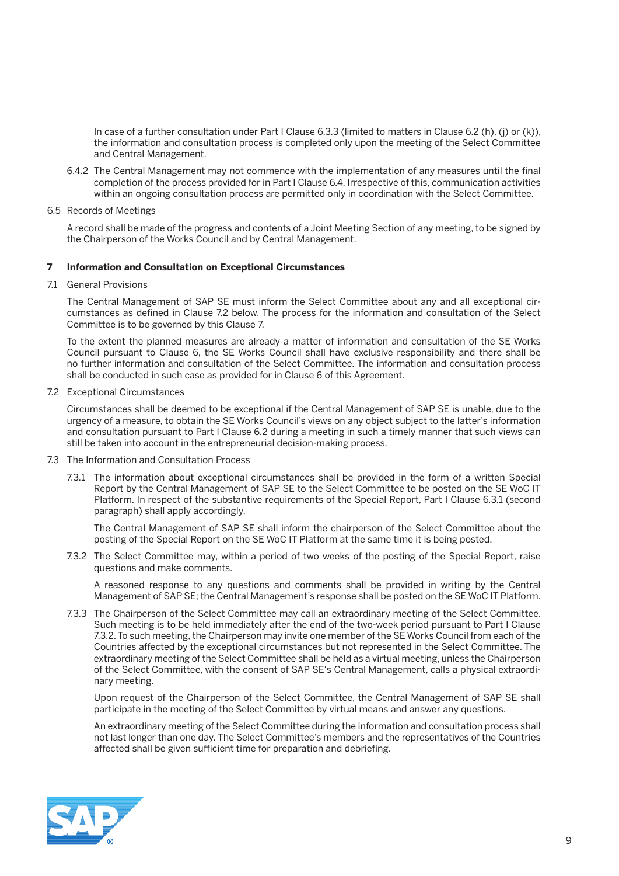In case of a further consultation under Part I Clause 6.3.3 (limited to matters in Clause 6.2 (h), (j) or (k)), the information and consultation process is completed only upon the meeting of the Select Committee and Central Management.

- 6.4.2 The Central Management may not commence with the implementation of any measures until the final completion of the process provided for in Part I Clause 6.4. Irrespective of this, communication activities within an ongoing consultation process are permitted only in coordination with the Select Committee.
- 6.5 Records of Meetings

 A record shall be made of the progress and contents of a Joint Meeting Section of any meeting, to be signed by the Chairperson of the Works Council and by Central Management.

#### **7 Information and Consultation on Exceptional Circumstances**

71 General Provisions

 The Central Management of SAP SE must inform the Select Committee about any and all exceptional circumstances as defined in Clause 7.2 below. The process for the information and consultation of the Select Committee is to be governed by this Clause 7.

 To the extent the planned measures are already a matter of information and consultation of the SE Works Council pursuant to Clause 6, the SE Works Council shall have exclusive responsibility and there shall be no further information and consultation of the Select Committee. The information and consultation process shall be conducted in such case as provided for in Clause 6 of this Agreement.

7.2 Exceptional Circumstances

 Circumstances shall be deemed to be exceptional if the Central Management of SAP SE is unable, due to the urgency of a measure, to obtain the SE Works Council's views on any object subject to the latter's information and consultation pursuant to Part I Clause 6.2 during a meeting in such a timely manner that such views can still be taken into account in the entrepreneurial decision-making process.

- 7.3 The Information and Consultation Process
	- 7.3.1 The information about exceptional circumstances shall be provided in the form of a written Special Report by the Central Management of SAP SE to the Select Committee to be posted on the SE WoC IT Platform. In respect of the substantive requirements of the Special Report, Part I Clause 6.3.1 (second paragraph) shall apply accordingly.

 The Central Management of SAP SE shall inform the chairperson of the Select Committee about the posting of the Special Report on the SE WoC IT Platform at the same time it is being posted.

7.3.2 The Select Committee may, within a period of two weeks of the posting of the Special Report, raise questions and make comments.

 A reasoned response to any questions and comments shall be provided in writing by the Central Management of SAP SE; the Central Management's response shall be posted on the SE WoC IT Platform.

7.3.3 The Chairperson of the Select Committee may call an extraordinary meeting of the Select Committee. Such meeting is to be held immediately after the end of the two-week period pursuant to Part I Clause 7.3.2. To such meeting, the Chairperson may invite one member of the SE Works Council from each of the Countries affected by the exceptional circumstances but not represented in the Select Committee. The extraordinary meeting of the Select Committee shall be held as a virtual meeting, unless the Chairperson of the Select Committee, with the consent of SAP SE's Central Management, calls a physical extraordinary meeting.

 Upon request of the Chairperson of the Select Committee, the Central Management of SAP SE shall participate in the meeting of the Select Committee by virtual means and answer any questions.

 An extraordinary meeting of the Select Committee during the information and consultation process shall not last longer than one day. The Select Committee's members and the representatives of the Countries affected shall be given sufficient time for preparation and debriefing.

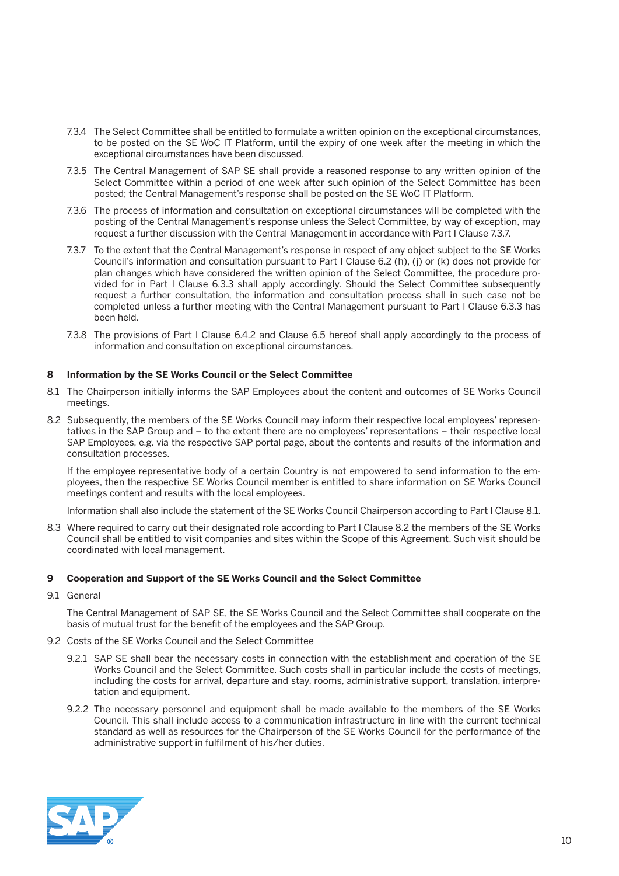- 7.3.4 The Select Committee shall be entitled to formulate a written opinion on the exceptional circumstances, to be posted on the SE WoC IT Platform, until the expiry of one week after the meeting in which the exceptional circumstances have been discussed.
- 7.3.5 The Central Management of SAP SE shall provide a reasoned response to any written opinion of the Select Committee within a period of one week after such opinion of the Select Committee has been posted; the Central Management's response shall be posted on the SE WoC IT Platform.
- 7.3.6 The process of information and consultation on exceptional circumstances will be completed with the posting of the Central Management's response unless the Select Committee, by way of exception, may request a further discussion with the Central Management in accordance with Part I Clause 7.3.7.
- 7.3.7 To the extent that the Central Management's response in respect of any object subject to the SE Works Council's information and consultation pursuant to Part I Clause 6.2 (h), (j) or (k) does not provide for plan changes which have considered the written opinion of the Select Committee, the procedure provided for in Part I Clause 6.3.3 shall apply accordingly. Should the Select Committee subsequently request a further consultation, the information and consultation process shall in such case not be completed unless a further meeting with the Central Management pursuant to Part I Clause 6.3.3 has been held.
- 7.3.8 The provisions of Part I Clause 6.4.2 and Clause 6.5 hereof shall apply accordingly to the process of information and consultation on exceptional circumstances.

#### **8 Information by the SE Works Council or the Select Committee**

- 8.1 The Chairperson initially informs the SAP Employees about the content and outcomes of SE Works Council meetings.
- 8.2 Subsequently, the members of the SE Works Council may inform their respective local employees' representatives in the SAP Group and – to the extent there are no employees' representations – their respective local SAP Employees, e.g. via the respective SAP portal page, about the contents and results of the information and consultation processes.

 If the employee representative body of a certain Country is not empowered to send information to the employees, then the respective SE Works Council member is entitled to share information on SE Works Council meetings content and results with the local employees.

Information shall also include the statement of the SE Works Council Chairperson according to Part I Clause 8.1.

8.3 Where required to carry out their designated role according to Part I Clause 8.2 the members of the SE Works Council shall be entitled to visit companies and sites within the Scope of this Agreement. Such visit should be coordinated with local management.

#### **9 Cooperation and Support of the SE Works Council and the Select Committee**

9.1 General

 The Central Management of SAP SE, the SE Works Council and the Select Committee shall cooperate on the basis of mutual trust for the benefit of the employees and the SAP Group.

- 9.2 Costs of the SE Works Council and the Select Committee
	- 9.2.1 SAP SE shall bear the necessary costs in connection with the establishment and operation of the SE Works Council and the Select Committee. Such costs shall in particular include the costs of meetings, including the costs for arrival, departure and stay, rooms, administrative support, translation, interpretation and equipment.
	- 9.2.2 The necessary personnel and equipment shall be made available to the members of the SE Works Council. This shall include access to a communication infrastructure in line with the current technical standard as well as resources for the Chairperson of the SE Works Council for the performance of the administrative support in fulfilment of his/her duties.

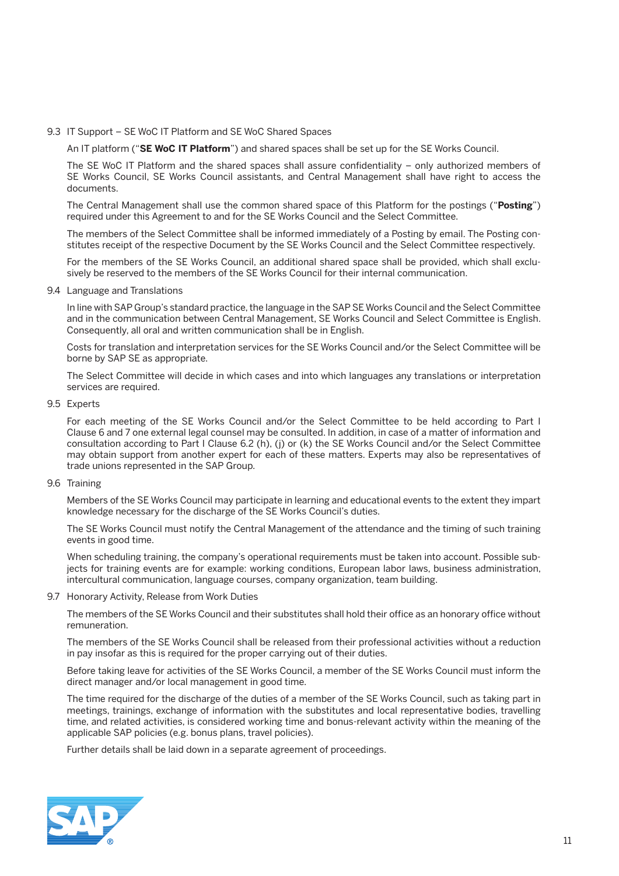#### 9.3 IT Support – SE WoC IT Platform and SE WoC Shared Spaces

An IT platform ("**SE WoC IT Platform**") and shared spaces shall be set up for the SE Works Council.

 The SE WoC IT Platform and the shared spaces shall assure confidentiality – only authorized members of SE Works Council, SE Works Council assistants, and Central Management shall have right to access the documents.

 The Central Management shall use the common shared space of this Platform for the postings ("**Posting**") required under this Agreement to and for the SE Works Council and the Select Committee.

 The members of the Select Committee shall be informed immediately of a Posting by email. The Posting constitutes receipt of the respective Document by the SE Works Council and the Select Committee respectively.

 For the members of the SE Works Council, an additional shared space shall be provided, which shall exclusively be reserved to the members of the SE Works Council for their internal communication.

9.4 Language and Translations

 In line with SAP Group's standard practice, the language in the SAP SE Works Council and the Select Committee and in the communication between Central Management, SE Works Council and Select Committee is English. Consequently, all oral and written communication shall be in English.

 Costs for translation and interpretation services for the SE Works Council and/or the Select Committee will be borne by SAP SE as appropriate.

 The Select Committee will decide in which cases and into which languages any translations or interpretation services are required.

9.5 Experts

 For each meeting of the SE Works Council and/or the Select Committee to be held according to Part I Clause 6 and 7 one external legal counsel may be consulted. In addition, in case of a matter of information and consultation according to Part I Clause 6.2 (h), (j) or (k) the SE Works Council and/or the Select Committee may obtain support from another expert for each of these matters. Experts may also be representatives of trade unions represented in the SAP Group.

9.6 Training

 Members of the SE Works Council may participate in learning and educational events to the extent they impart knowledge necessary for the discharge of the SE Works Council's duties.

 The SE Works Council must notify the Central Management of the attendance and the timing of such training events in good time.

 When scheduling training, the company's operational requirements must be taken into account. Possible subjects for training events are for example: working conditions, European labor laws, business administration, intercultural communication, language courses, company organization, team building.

9.7 Honorary Activity, Release from Work Duties

 The members of the SE Works Council and their substitutes shall hold their office as an honorary office without remuneration.

 The members of the SE Works Council shall be released from their professional activities without a reduction in pay insofar as this is required for the proper carrying out of their duties.

 Before taking leave for activities of the SE Works Council, a member of the SE Works Council must inform the direct manager and/or local management in good time.

 The time required for the discharge of the duties of a member of the SE Works Council, such as taking part in meetings, trainings, exchange of information with the substitutes and local representative bodies, travelling time, and related activities, is considered working time and bonus-relevant activity within the meaning of the applicable SAP policies (e.g. bonus plans, travel policies).

Further details shall be laid down in a separate agreement of proceedings.

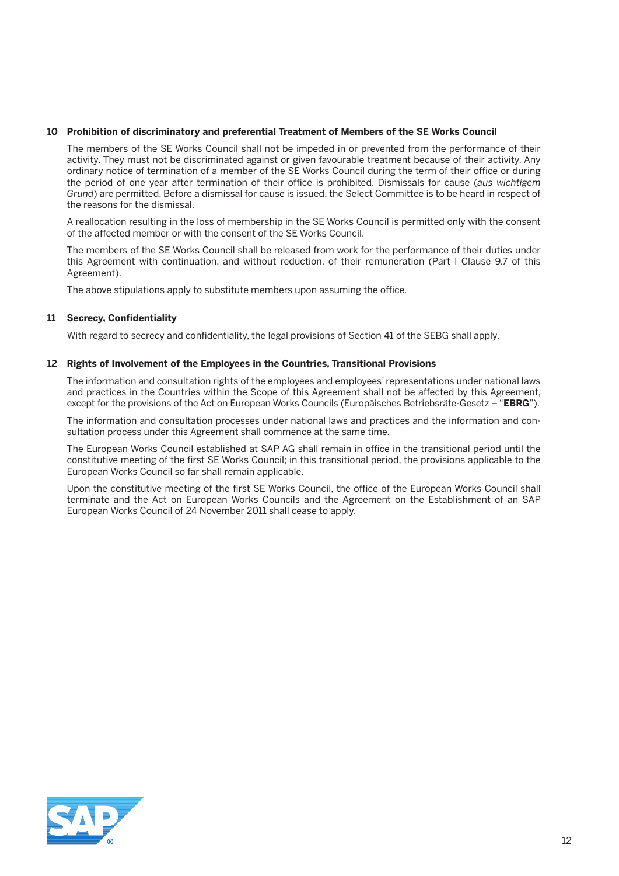#### **10 Prohibition of discriminatory and preferential Treatment of Members of the SE Works Council**

 The members of the SE Works Council shall not be impeded in or prevented from the performance of their activity. They must not be discriminated against or given favourable treatment because of their activity. Any ordinary notice of termination of a member of the SE Works Council during the term of their office or during the period of one year after termination of their office is prohibited. Dismissals for cause (*aus wichtigem Grund*) are permitted. Before a dismissal for cause is issued, the Select Committee is to be heard in respect of the reasons for the dismissal.

 A reallocation resulting in the loss of membership in the SE Works Council is permitted only with the consent of the affected member or with the consent of the SE Works Council.

 The members of the SE Works Council shall be released from work for the performance of their duties under this Agreement with continuation, and without reduction, of their remuneration (Part I Clause 9.7 of this Agreement).

The above stipulations apply to substitute members upon assuming the office.

#### **11 Secrecy, Confidentiality**

With regard to secrecy and confidentiality, the legal provisions of Section 41 of the SEBG shall apply.

#### **12 Rights of Involvement of the Employees in the Countries, Transitional Provisions**

 The information and consultation rights of the employees and employees' representations under national laws and practices in the Countries within the Scope of this Agreement shall not be affected by this Agreement, except for the provisions of the Act on European Works Councils (Europäisches Betriebsräte-Gesetz – "**EBRG**").

 The information and consultation processes under national laws and practices and the information and consultation process under this Agreement shall commence at the same time.

 The European Works Council established at SAP AG shall remain in office in the transitional period until the constitutive meeting of the first SE Works Council; in this transitional period, the provisions applicable to the European Works Council so far shall remain applicable.

 Upon the constitutive meeting of the first SE Works Council, the office of the European Works Council shall terminate and the Act on European Works Councils and the Agreement on the Establishment of an SAP European Works Council of 24 November 2011 shall cease to apply.

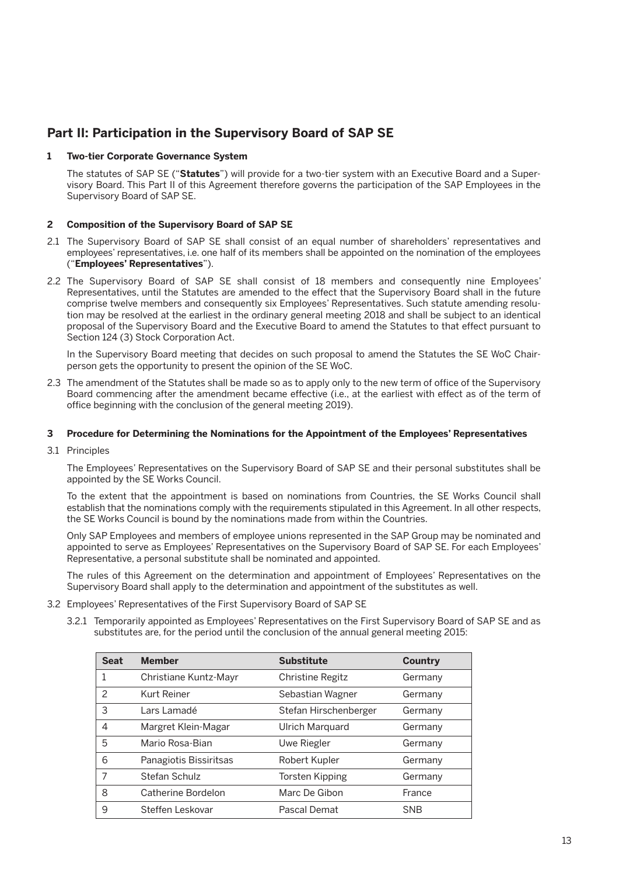## **Part II: Participation in the Supervisory Board of SAP SE**

#### **1 Two-tier Corporate Governance System**

 The statutes of SAP SE ("**Statutes**") will provide for a two-tier system with an Executive Board and a Supervisory Board. This Part II of this Agreement therefore governs the participation of the SAP Employees in the Supervisory Board of SAP SE.

#### **2 Composition of the Supervisory Board of SAP SE**

- 2.1 The Supervisory Board of SAP SE shall consist of an equal number of shareholders' representatives and employees' representatives, i.e. one half of its members shall be appointed on the nomination of the employees ("**Employees' Representatives**").
- 2.2 The Supervisory Board of SAP SE shall consist of 18 members and consequently nine Employees' Representatives, until the Statutes are amended to the effect that the Supervisory Board shall in the future comprise twelve members and consequently six Employees' Representatives. Such statute amending resolution may be resolved at the earliest in the ordinary general meeting 2018 and shall be subject to an identical proposal of the Supervisory Board and the Executive Board to amend the Statutes to that effect pursuant to Section 124 (3) Stock Corporation Act.

 In the Supervisory Board meeting that decides on such proposal to amend the Statutes the SE WoC Chairperson gets the opportunity to present the opinion of the SE WoC.

2.3 The amendment of the Statutes shall be made so as to apply only to the new term of office of the Supervisory Board commencing after the amendment became effective (i.e., at the earliest with effect as of the term of office beginning with the conclusion of the general meeting 2019).

#### **3 Procedure for Determining the Nominations for the Appointment of the Employees' Representatives**

3.1 Principles

 The Employees' Representatives on the Supervisory Board of SAP SE and their personal substitutes shall be appointed by the SE Works Council.

 To the extent that the appointment is based on nominations from Countries, the SE Works Council shall establish that the nominations comply with the requirements stipulated in this Agreement. In all other respects, the SE Works Council is bound by the nominations made from within the Countries.

 Only SAP Employees and members of employee unions represented in the SAP Group may be nominated and appointed to serve as Employees' Representatives on the Supervisory Board of SAP SE. For each Employees' Representative, a personal substitute shall be nominated and appointed.

 The rules of this Agreement on the determination and appointment of Employees' Representatives on the Supervisory Board shall apply to the determination and appointment of the substitutes as well.

- 3.2 Employees' Representatives of the First Supervisory Board of SAP SE
	- 3.2.1 Temporarily appointed as Employees' Representatives on the First Supervisory Board of SAP SE and as substitutes are, for the period until the conclusion of the annual general meeting 2015:

| <b>Seat</b>   | <b>Member</b>          | <b>Substitute</b>       | Country    |
|---------------|------------------------|-------------------------|------------|
|               | Christiane Kuntz-Mayr  | <b>Christine Regitz</b> | Germany    |
| $\mathcal{P}$ | Kurt Reiner            | Sebastian Wagner        | Germany    |
| 3             | Lars Lamadé            | Stefan Hirschenberger   | Germany    |
| 4             | Margret Klein-Magar    | Ulrich Marquard         | Germany    |
| 5             | Mario Rosa-Bian        | Uwe Riegler             | Germany    |
| 6             | Panagiotis Bissiritsas | Robert Kupler           | Germany    |
| 7             | Stefan Schulz          | <b>Torsten Kipping</b>  | Germany    |
| 8             | Catherine Bordelon     | Marc De Gibon           | France     |
| 9             | Steffen Leskovar       | Pascal Demat            | <b>SNB</b> |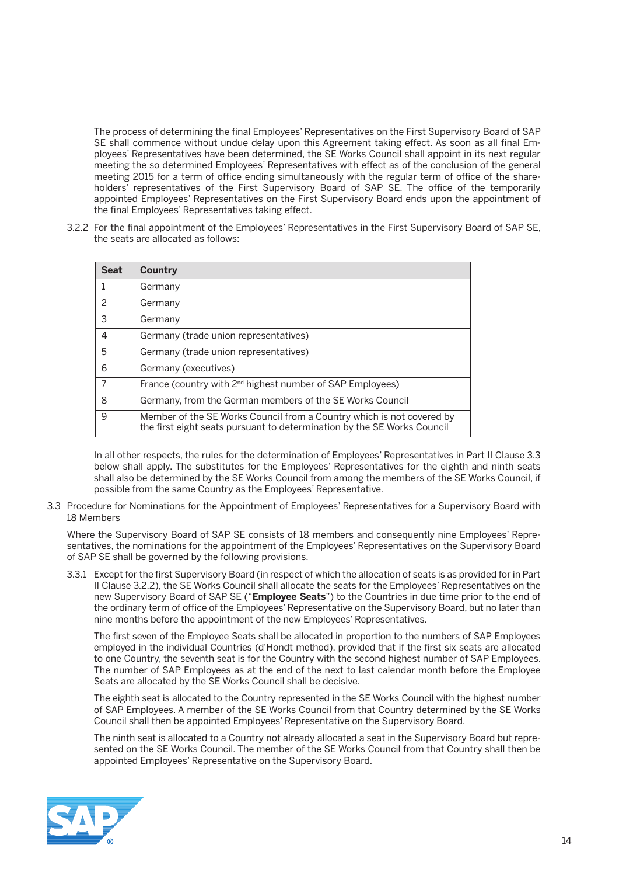The process of determining the final Employees' Representatives on the First Supervisory Board of SAP SE shall commence without undue delay upon this Agreement taking effect. As soon as all final Employees' Representatives have been determined, the SE Works Council shall appoint in its next regular meeting the so determined Employees' Representatives with effect as of the conclusion of the general meeting 2015 for a term of office ending simultaneously with the regular term of office of the shareholders' representatives of the First Supervisory Board of SAP SE. The office of the temporarily appointed Employees' Representatives on the First Supervisory Board ends upon the appointment of the final Employees' Representatives taking effect.

3.2.2 For the final appointment of the Employees' Representatives in the First Supervisory Board of SAP SE, the seats are allocated as follows:

| <b>Seat</b> | Country                                                                                                                                          |  |
|-------------|--------------------------------------------------------------------------------------------------------------------------------------------------|--|
|             | Germany                                                                                                                                          |  |
| 2           | Germany                                                                                                                                          |  |
| 3           | Germany                                                                                                                                          |  |
| 4           | Germany (trade union representatives)                                                                                                            |  |
| 5           | Germany (trade union representatives)                                                                                                            |  |
| 6           | Germany (executives)                                                                                                                             |  |
| 7           | France (country with 2 <sup>nd</sup> highest number of SAP Employees)                                                                            |  |
| 8           | Germany, from the German members of the SE Works Council                                                                                         |  |
| 9           | Member of the SE Works Council from a Country which is not covered by<br>the first eight seats pursuant to determination by the SE Works Council |  |

 In all other respects, the rules for the determination of Employees' Representatives in Part II Clause 3.3 below shall apply. The substitutes for the Employees' Representatives for the eighth and ninth seats shall also be determined by the SE Works Council from among the members of the SE Works Council, if possible from the same Country as the Employees' Representative.

3.3 Procedure for Nominations for the Appointment of Employees' Representatives for a Supervisory Board with 18 Members

 Where the Supervisory Board of SAP SE consists of 18 members and consequently nine Employees' Representatives, the nominations for the appointment of the Employees' Representatives on the Supervisory Board of SAP SE shall be governed by the following provisions.

3.3.1 Except for the first Supervisory Board (in respect of which the allocation of seats is as provided for in Part II Clause 3.2.2), the SE Works Council shall allocate the seats for the Employees' Representatives on the new Supervisory Board of SAP SE ("**Employee Seats**") to the Countries in due time prior to the end of the ordinary term of office of the Employees' Representative on the Supervisory Board, but no later than nine months before the appointment of the new Employees' Representatives.

 The first seven of the Employee Seats shall be allocated in proportion to the numbers of SAP Employees employed in the individual Countries (d'Hondt method), provided that if the first six seats are allocated to one Country, the seventh seat is for the Country with the second highest number of SAP Employees. The number of SAP Employees as at the end of the next to last calendar month before the Employee Seats are allocated by the SE Works Council shall be decisive.

 The eighth seat is allocated to the Country represented in the SE Works Council with the highest number of SAP Employees. A member of the SE Works Council from that Country determined by the SE Works Council shall then be appointed Employees' Representative on the Supervisory Board.

 The ninth seat is allocated to a Country not already allocated a seat in the Supervisory Board but represented on the SE Works Council. The member of the SE Works Council from that Country shall then be appointed Employees' Representative on the Supervisory Board.

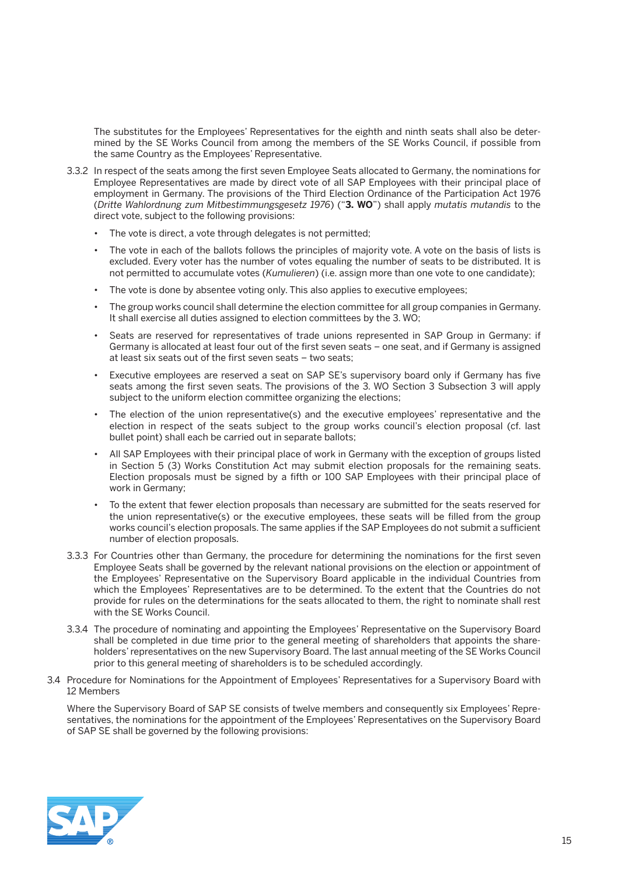The substitutes for the Employees' Representatives for the eighth and ninth seats shall also be determined by the SE Works Council from among the members of the SE Works Council, if possible from the same Country as the Employees' Representative.

- 3.3.2 In respect of the seats among the first seven Employee Seats allocated to Germany, the nominations for Employee Representatives are made by direct vote of all SAP Employees with their principal place of employment in Germany. The provisions of the Third Election Ordinance of the Participation Act 1976 (*Dritte Wahlordnung zum Mitbestimmungsgesetz 1976*) ("**3. WO**") shall apply *mutatis mutandis* to the direct vote, subject to the following provisions:
	- The vote is direct, a vote through delegates is not permitted;
	- The vote in each of the ballots follows the principles of majority vote. A vote on the basis of lists is excluded. Every voter has the number of votes equaling the number of seats to be distributed. It is not permitted to accumulate votes (*Kumulieren*) (i.e. assign more than one vote to one candidate);
	- The vote is done by absentee voting only. This also applies to executive employees;
	- The group works council shall determine the election committee for all group companies in Germany. It shall exercise all duties assigned to election committees by the 3. WO;
	- • Seats are reserved for representatives of trade unions represented in SAP Group in Germany: if Germany is allocated at least four out of the first seven seats – one seat, and if Germany is assigned at least six seats out of the first seven seats – two seats;
	- • Executive employees are reserved a seat on SAP SE's supervisory board only if Germany has five seats among the first seven seats. The provisions of the 3. WO Section 3 Subsection 3 will apply subject to the uniform election committee organizing the elections;
	- • The election of the union representative(s) and the executive employees' representative and the election in respect of the seats subject to the group works council's election proposal (cf. last bullet point) shall each be carried out in separate ballots;
	- All SAP Employees with their principal place of work in Germany with the exception of groups listed in Section 5 (3) Works Constitution Act may submit election proposals for the remaining seats. Election proposals must be signed by a fifth or 100 SAP Employees with their principal place of work in Germany;
	- To the extent that fewer election proposals than necessary are submitted for the seats reserved for the union representative(s) or the executive employees, these seats will be filled from the group works council's election proposals. The same applies if the SAP Employees do not submit a sufficient number of election proposals.
- 3.3.3 For Countries other than Germany, the procedure for determining the nominations for the first seven Employee Seats shall be governed by the relevant national provisions on the election or appointment of the Employees' Representative on the Supervisory Board applicable in the individual Countries from which the Employees' Representatives are to be determined. To the extent that the Countries do not provide for rules on the determinations for the seats allocated to them, the right to nominate shall rest with the SE Works Council.
- 3.3.4 The procedure of nominating and appointing the Employees' Representative on the Supervisory Board shall be completed in due time prior to the general meeting of shareholders that appoints the shareholders' representatives on the new Supervisory Board. The last annual meeting of the SE Works Council prior to this general meeting of shareholders is to be scheduled accordingly.
- 3.4 Procedure for Nominations for the Appointment of Employees' Representatives for a Supervisory Board with 12 Members

 Where the Supervisory Board of SAP SE consists of twelve members and consequently six Employees' Representatives, the nominations for the appointment of the Employees' Representatives on the Supervisory Board of SAP SE shall be governed by the following provisions:

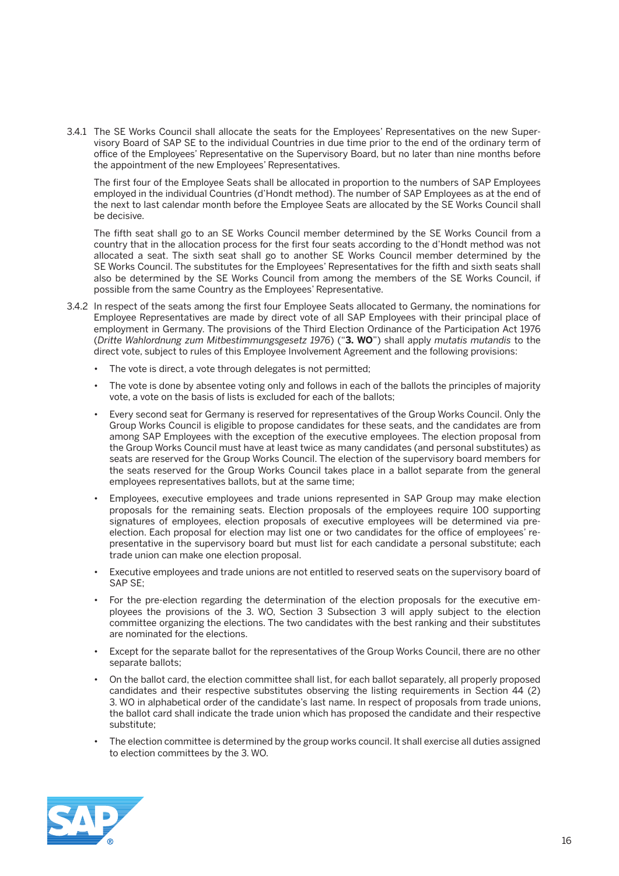3.4.1 The SE Works Council shall allocate the seats for the Employees' Representatives on the new Supervisory Board of SAP SE to the individual Countries in due time prior to the end of the ordinary term of office of the Employees' Representative on the Supervisory Board, but no later than nine months before the appointment of the new Employees' Representatives.

 The first four of the Employee Seats shall be allocated in proportion to the numbers of SAP Employees employed in the individual Countries (d'Hondt method). The number of SAP Employees as at the end of the next to last calendar month before the Employee Seats are allocated by the SE Works Council shall be decisive.

 The fifth seat shall go to an SE Works Council member determined by the SE Works Council from a country that in the allocation process for the first four seats according to the d'Hondt method was not allocated a seat. The sixth seat shall go to another SE Works Council member determined by the SE Works Council. The substitutes for the Employees' Representatives for the fifth and sixth seats shall also be determined by the SE Works Council from among the members of the SE Works Council, if possible from the same Country as the Employees' Representative.

- 3.4.2 In respect of the seats among the first four Employee Seats allocated to Germany, the nominations for Employee Representatives are made by direct vote of all SAP Employees with their principal place of employment in Germany. The provisions of the Third Election Ordinance of the Participation Act 1976 (*Dritte Wahlordnung zum Mitbestimmungsgesetz 1976*) ("**3. WO**") shall apply *mutatis mutandis* to the direct vote, subject to rules of this Employee Involvement Agreement and the following provisions:
	- The vote is direct, a vote through delegates is not permitted;
	- The vote is done by absentee voting only and follows in each of the ballots the principles of majority vote, a vote on the basis of lists is excluded for each of the ballots;
	- Every second seat for Germany is reserved for representatives of the Group Works Council. Only the Group Works Council is eligible to propose candidates for these seats, and the candidates are from among SAP Employees with the exception of the executive employees. The election proposal from the Group Works Council must have at least twice as many candidates (and personal substitutes) as seats are reserved for the Group Works Council. The election of the supervisory board members for the seats reserved for the Group Works Council takes place in a ballot separate from the general employees representatives ballots, but at the same time;
	- • Employees, executive employees and trade unions represented in SAP Group may make election proposals for the remaining seats. Election proposals of the employees require 100 supporting signatures of employees, election proposals of executive employees will be determined via preelection. Each proposal for election may list one or two candidates for the office of employees' representative in the supervisory board but must list for each candidate a personal substitute; each trade union can make one election proposal.
	- Executive employees and trade unions are not entitled to reserved seats on the supervisory board of SAP SE;
	- • For the pre-election regarding the determination of the election proposals for the executive employees the provisions of the 3. WO, Section 3 Subsection 3 will apply subject to the election committee organizing the elections. The two candidates with the best ranking and their substitutes are nominated for the elections.
	- • Except for the separate ballot for the representatives of the Group Works Council, there are no other separate ballots;
	- • On the ballot card, the election committee shall list, for each ballot separately, all properly proposed candidates and their respective substitutes observing the listing requirements in Section 44 (2) 3. WO in alphabetical order of the candidate's last name. In respect of proposals from trade unions, the ballot card shall indicate the trade union which has proposed the candidate and their respective substitute;
	- The election committee is determined by the group works council. It shall exercise all duties assigned to election committees by the 3. WO.

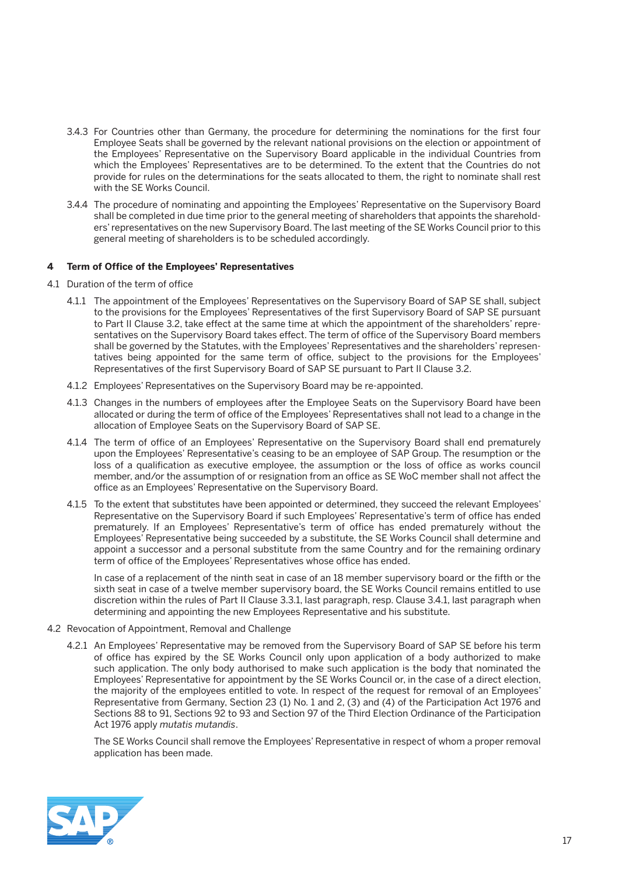- 3.4.3 For Countries other than Germany, the procedure for determining the nominations for the first four Employee Seats shall be governed by the relevant national provisions on the election or appointment of the Employees' Representative on the Supervisory Board applicable in the individual Countries from which the Employees' Representatives are to be determined. To the extent that the Countries do not provide for rules on the determinations for the seats allocated to them, the right to nominate shall rest with the SE Works Council.
- 3.4.4 The procedure of nominating and appointing the Employees' Representative on the Supervisory Board shall be completed in due time prior to the general meeting of shareholders that appoints the shareholders' representatives on the new Supervisory Board. The last meeting of the SE Works Council prior to this general meeting of shareholders is to be scheduled accordingly.

#### **4 Term of Office of the Employees' Representatives**

- 4.1 Duration of the term of office
	- 4.1.1 The appointment of the Employees' Representatives on the Supervisory Board of SAP SE shall, subject to the provisions for the Employees' Representatives of the first Supervisory Board of SAP SE pursuant to Part II Clause 3.2, take effect at the same time at which the appointment of the shareholders' representatives on the Supervisory Board takes effect. The term of office of the Supervisory Board members shall be governed by the Statutes, with the Employees' Representatives and the shareholders' representatives being appointed for the same term of office, subject to the provisions for the Employees' Representatives of the first Supervisory Board of SAP SE pursuant to Part II Clause 3.2.
	- 4.1.2 Employees' Representatives on the Supervisory Board may be re-appointed.
	- 4.1.3 Changes in the numbers of employees after the Employee Seats on the Supervisory Board have been allocated or during the term of office of the Employees' Representatives shall not lead to a change in the allocation of Employee Seats on the Supervisory Board of SAP SE.
	- 4.1.4 The term of office of an Employees' Representative on the Supervisory Board shall end prematurely upon the Employees' Representative's ceasing to be an employee of SAP Group. The resumption or the loss of a qualification as executive employee, the assumption or the loss of office as works council member, and/or the assumption of or resignation from an office as SE WoC member shall not affect the office as an Employees' Representative on the Supervisory Board.
	- 4.1.5 To the extent that substitutes have been appointed or determined, they succeed the relevant Employees' Representative on the Supervisory Board if such Employees' Representative's term of office has ended prematurely. If an Employees' Representative's term of office has ended prematurely without the Employees' Representative being succeeded by a substitute, the SE Works Council shall determine and appoint a successor and a personal substitute from the same Country and for the remaining ordinary term of office of the Employees' Representatives whose office has ended.

 In case of a replacement of the ninth seat in case of an 18 member supervisory board or the fifth or the sixth seat in case of a twelve member supervisory board, the SE Works Council remains entitled to use discretion within the rules of Part II Clause 3.3.1, last paragraph, resp. Clause 3.4.1, last paragraph when determining and appointing the new Employees Representative and his substitute.

- 4.2 Revocation of Appointment, Removal and Challenge
	- 4.2.1 An Employees' Representative may be removed from the Supervisory Board of SAP SE before his term of office has expired by the SE Works Council only upon application of a body authorized to make such application. The only body authorised to make such application is the body that nominated the Employees' Representative for appointment by the SE Works Council or, in the case of a direct election, the majority of the employees entitled to vote. In respect of the request for removal of an Employees' Representative from Germany, Section 23 (1) No. 1 and 2, (3) and (4) of the Participation Act 1976 and Sections 88 to 91, Sections 92 to 93 and Section 97 of the Third Election Ordinance of the Participation Act 1976 apply *mutatis mutandis*.

 The SE Works Council shall remove the Employees' Representative in respect of whom a proper removal application has been made.

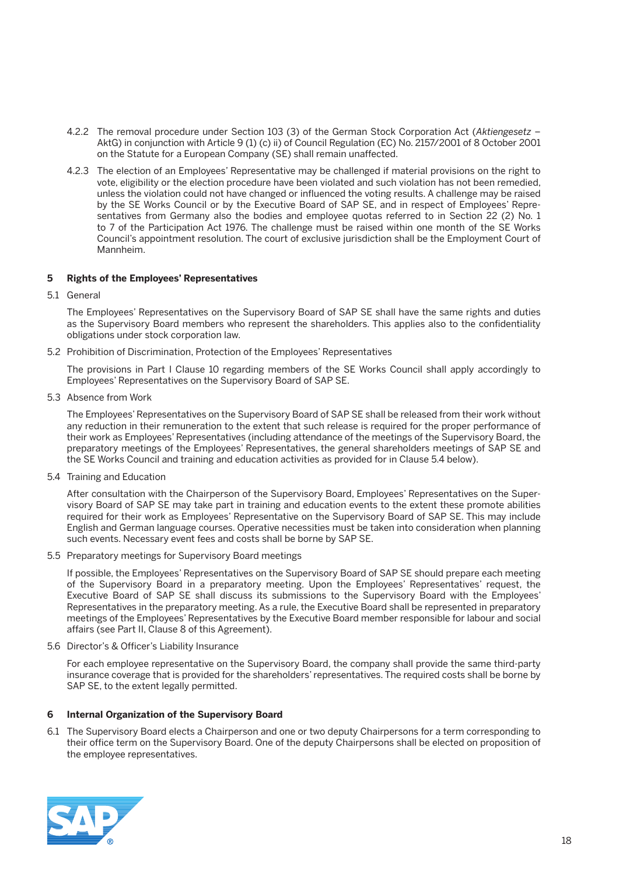- 4.2.2 The removal procedure under Section 103 (3) of the German Stock Corporation Act (*Aktiengesetz* AktG) in conjunction with Article 9 (1) (c) ii) of Council Regulation (EC) No. 2157/2001 of 8 October 2001 on the Statute for a European Company (SE) shall remain unaffected.
- 4.2.3 The election of an Employees' Representative may be challenged if material provisions on the right to vote, eligibility or the election procedure have been violated and such violation has not been remedied, unless the violation could not have changed or influenced the voting results. A challenge may be raised by the SE Works Council or by the Executive Board of SAP SE, and in respect of Employees' Representatives from Germany also the bodies and employee quotas referred to in Section 22 (2) No. 1 to 7 of the Participation Act 1976. The challenge must be raised within one month of the SE Works Council's appointment resolution. The court of exclusive jurisdiction shall be the Employment Court of Mannheim.

#### **5 Rights of the Employees' Representatives**

5.1 General

 The Employees' Representatives on the Supervisory Board of SAP SE shall have the same rights and duties as the Supervisory Board members who represent the shareholders. This applies also to the confidentiality obligations under stock corporation law.

5.2 Prohibition of Discrimination, Protection of the Employees' Representatives

 The provisions in Part I Clause 10 regarding members of the SE Works Council shall apply accordingly to Employees' Representatives on the Supervisory Board of SAP SE.

5.3 Absence from Work

 The Employees' Representatives on the Supervisory Board of SAP SE shall be released from their work without any reduction in their remuneration to the extent that such release is required for the proper performance of their work as Employees' Representatives (including attendance of the meetings of the Supervisory Board, the preparatory meetings of the Employees' Representatives, the general shareholders meetings of SAP SE and the SE Works Council and training and education activities as provided for in Clause 5.4 below).

5.4 Training and Education

 After consultation with the Chairperson of the Supervisory Board, Employees' Representatives on the Supervisory Board of SAP SE may take part in training and education events to the extent these promote abilities required for their work as Employees' Representative on the Supervisory Board of SAP SE. This may include English and German language courses. Operative necessities must be taken into consideration when planning such events. Necessary event fees and costs shall be borne by SAP SE.

5.5 Preparatory meetings for Supervisory Board meetings

 If possible, the Employees' Representatives on the Supervisory Board of SAP SE should prepare each meeting of the Supervisory Board in a preparatory meeting. Upon the Employees' Representatives' request, the Executive Board of SAP SE shall discuss its submissions to the Supervisory Board with the Employees' Representatives in the preparatory meeting. As a rule, the Executive Board shall be represented in preparatory meetings of the Employees' Representatives by the Executive Board member responsible for labour and social affairs (see Part II, Clause 8 of this Agreement).

5.6 Director's & Officer's Liability Insurance

 For each employee representative on the Supervisory Board, the company shall provide the same third-party insurance coverage that is provided for the shareholders' representatives. The required costs shall be borne by SAP SE, to the extent legally permitted.

#### **6 Internal Organization of the Supervisory Board**

6.1 The Supervisory Board elects a Chairperson and one or two deputy Chairpersons for a term corresponding to their office term on the Supervisory Board. One of the deputy Chairpersons shall be elected on proposition of the employee representatives.

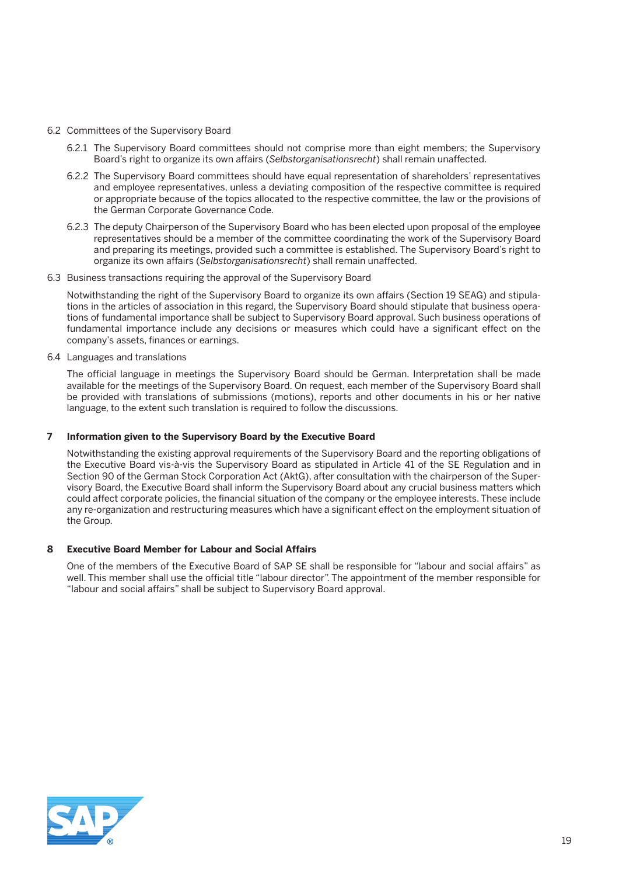- 6.2 Committees of the Supervisory Board
	- 6.2.1 The Supervisory Board committees should not comprise more than eight members; the Supervisory Board's right to organize its own affairs (*Selbstorganisationsrecht*) shall remain unaffected.
	- 6.2.2 The Supervisory Board committees should have equal representation of shareholders' representatives and employee representatives, unless a deviating composition of the respective committee is required or appropriate because of the topics allocated to the respective committee, the law or the provisions of the German Corporate Governance Code.
	- 6.2.3 The deputy Chairperson of the Supervisory Board who has been elected upon proposal of the employee representatives should be a member of the committee coordinating the work of the Supervisory Board and preparing its meetings, provided such a committee is established. The Supervisory Board's right to organize its own affairs (*Selbstorganisationsrecht*) shall remain unaffected.
- 6.3 Business transactions requiring the approval of the Supervisory Board

 Notwithstanding the right of the Supervisory Board to organize its own affairs (Section 19 SEAG) and stipulations in the articles of association in this regard, the Supervisory Board should stipulate that business operations of fundamental importance shall be subject to Supervisory Board approval. Such business operations of fundamental importance include any decisions or measures which could have a significant effect on the company's assets, finances or earnings.

6.4 Languages and translations

 The official language in meetings the Supervisory Board should be German. Interpretation shall be made available for the meetings of the Supervisory Board. On request, each member of the Supervisory Board shall be provided with translations of submissions (motions), reports and other documents in his or her native language, to the extent such translation is required to follow the discussions.

#### **7 Information given to the Supervisory Board by the Executive Board**

 Notwithstanding the existing approval requirements of the Supervisory Board and the reporting obligations of the Executive Board vis-à-vis the Supervisory Board as stipulated in Article 41 of the SE Regulation and in Section 90 of the German Stock Corporation Act (AktG), after consultation with the chairperson of the Supervisory Board, the Executive Board shall inform the Supervisory Board about any crucial business matters which could affect corporate policies, the financial situation of the company or the employee interests. These include any re-organization and restructuring measures which have a significant effect on the employment situation of the Group.

#### **8 Executive Board Member for Labour and Social Affairs**

 One of the members of the Executive Board of SAP SE shall be responsible for "labour and social affairs" as well. This member shall use the official title "labour director". The appointment of the member responsible for "labour and social affairs" shall be subject to Supervisory Board approval.

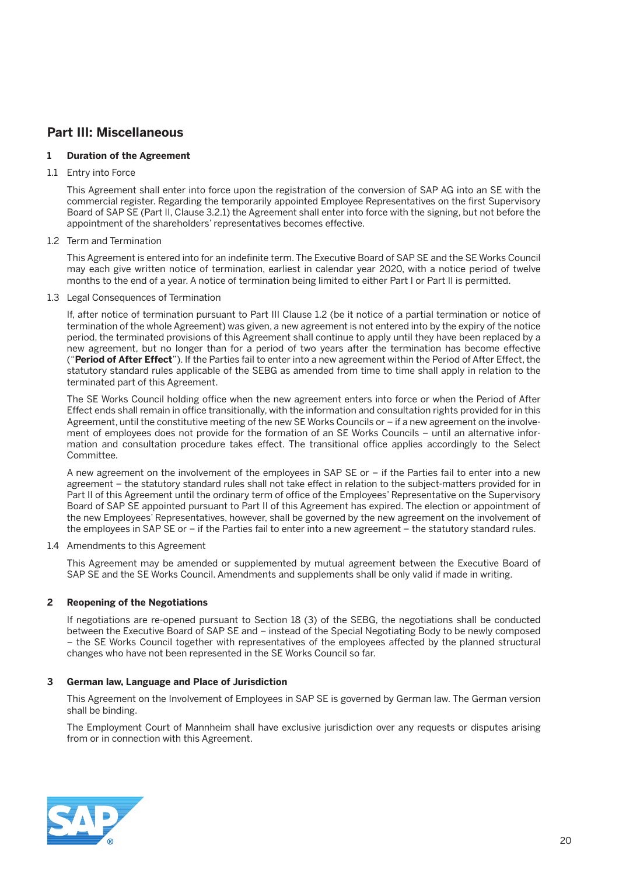# **Part III: Miscellaneous**

#### **1 Duration of the Agreement**

#### 1.1 Entry into Force

 This Agreement shall enter into force upon the registration of the conversion of SAP AG into an SE with the commercial register. Regarding the temporarily appointed Employee Representatives on the first Supervisory Board of SAP SE (Part II, Clause 3.2.1) the Agreement shall enter into force with the signing, but not before the appointment of the shareholders' representatives becomes effective.

#### 1.2 Term and Termination

 This Agreement is entered into for an indefinite term. The Executive Board of SAP SE and the SE Works Council may each give written notice of termination, earliest in calendar year 2020, with a notice period of twelve months to the end of a year. A notice of termination being limited to either Part I or Part II is permitted.

#### 1.3 Legal Consequences of Termination

 If, after notice of termination pursuant to Part III Clause 1.2 (be it notice of a partial termination or notice of termination of the whole Agreement) was given, a new agreement is not entered into by the expiry of the notice period, the terminated provisions of this Agreement shall continue to apply until they have been replaced by a new agreement, but no longer than for a period of two years after the termination has become effective ("**Period of After Effect**"). If the Parties fail to enter into a new agreement within the Period of After Effect, the statutory standard rules applicable of the SEBG as amended from time to time shall apply in relation to the terminated part of this Agreement.

 The SE Works Council holding office when the new agreement enters into force or when the Period of After Effect ends shall remain in office transitionally, with the information and consultation rights provided for in this Agreement, until the constitutive meeting of the new SE Works Councils or – if a new agreement on the involvement of employees does not provide for the formation of an SE Works Councils – until an alternative information and consultation procedure takes effect. The transitional office applies accordingly to the Select Committee.

 A new agreement on the involvement of the employees in SAP SE or – if the Parties fail to enter into a new agreement – the statutory standard rules shall not take effect in relation to the subject-matters provided for in Part II of this Agreement until the ordinary term of office of the Employees' Representative on the Supervisory Board of SAP SE appointed pursuant to Part II of this Agreement has expired. The election or appointment of the new Employees' Representatives, however, shall be governed by the new agreement on the involvement of the employees in SAP SE or – if the Parties fail to enter into a new agreement – the statutory standard rules.

#### 1.4 Amendments to this Agreement

 This Agreement may be amended or supplemented by mutual agreement between the Executive Board of SAP SE and the SE Works Council. Amendments and supplements shall be only valid if made in writing.

#### **2 Reopening of the Negotiations**

 If negotiations are re-opened pursuant to Section 18 (3) of the SEBG, the negotiations shall be conducted between the Executive Board of SAP SE and – instead of the Special Negotiating Body to be newly composed – the SE Works Council together with representatives of the employees affected by the planned structural changes who have not been represented in the SE Works Council so far.

#### **3 German law, Language and Place of Jurisdiction**

 This Agreement on the Involvement of Employees in SAP SE is governed by German law. The German version shall be binding.

 The Employment Court of Mannheim shall have exclusive jurisdiction over any requests or disputes arising from or in connection with this Agreement.

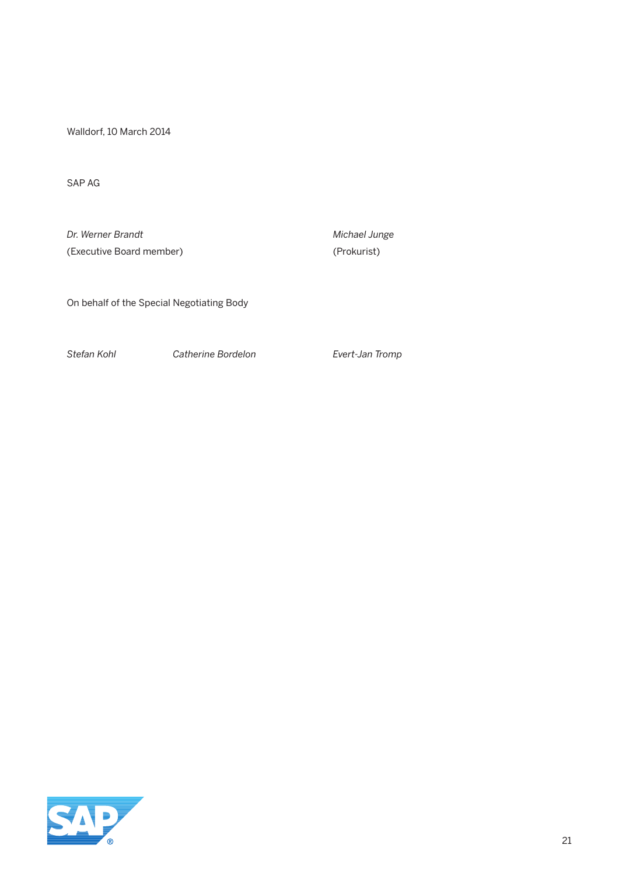Walldorf, 10 March 2014

SAP AG

**Dr. Werner Brandt** Michael Junge (Executive Board member) (Prokurist)

On behalf of the Special Negotiating Body

*Stefan Kohl Catherine Bordelon Evert-Jan Tromp*

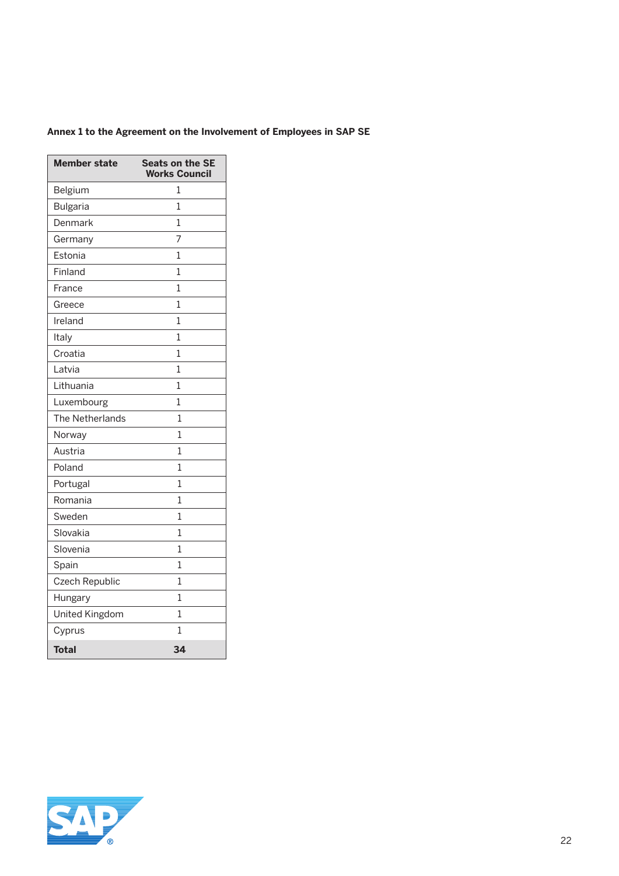### **Annex 1 to the Agreement on the Involvement of Employees in SAP SE**

| <b>Member state</b>   | <b>Seats on the SE</b><br><b>Works Council</b> |
|-----------------------|------------------------------------------------|
| Belgium               | 1                                              |
| <b>Bulgaria</b>       | 1                                              |
| Denmark               | $\overline{1}$                                 |
| Germany               | 7                                              |
| Estonia               | 1                                              |
| Finland               | 1                                              |
| France                | 1                                              |
| Greece                | 1                                              |
| Ireland               | 1                                              |
| Italy                 | 1                                              |
| Croatia               | 1                                              |
| Latvia                | 1                                              |
| Lithuania             | 1                                              |
| Luxembourg            | 1                                              |
| The Netherlands       | 1                                              |
| Norway                | 1                                              |
| Austria               | 1                                              |
| Poland                | 1                                              |
| Portugal              | 1                                              |
| Romania               | 1                                              |
| Sweden                | 1                                              |
| Slovakia              | 1                                              |
| Slovenia              | 1                                              |
| Spain                 | 1                                              |
| Czech Republic        | 1                                              |
| Hungary               | 1                                              |
| <b>United Kingdom</b> | 1                                              |
| Cyprus                | 1                                              |
| <b>Total</b>          | 34                                             |